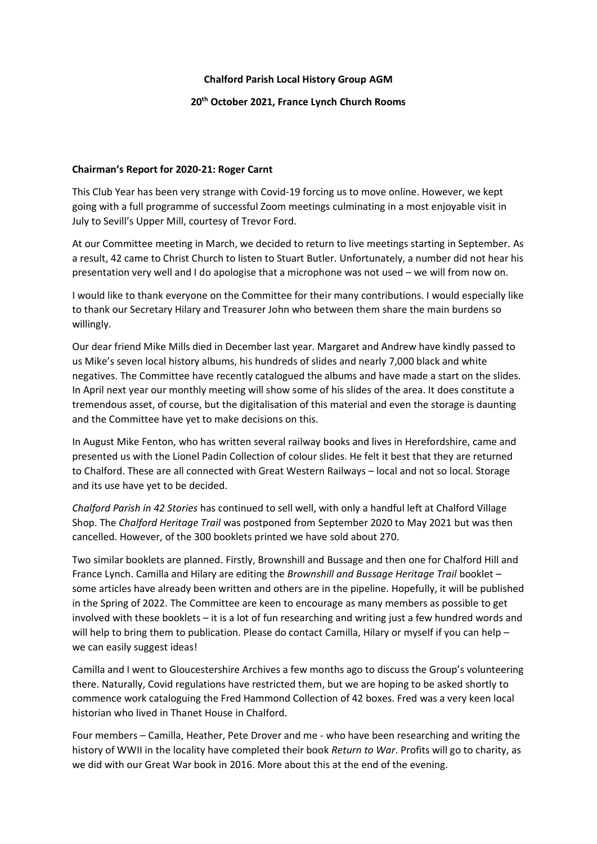# **Chalford Parish Local History Group AGM**

# **20th October 2021, France Lynch Church Rooms**

### **Chairman's Report for 2020-21: Roger Carnt**

This Club Year has been very strange with Covid-19 forcing us to move online. However, we kept going with a full programme of successful Zoom meetings culminating in a most enjoyable visit in July to Sevill's Upper Mill, courtesy of Trevor Ford.

At our Committee meeting in March, we decided to return to live meetings starting in September. As a result, 42 came to Christ Church to listen to Stuart Butler. Unfortunately, a number did not hear his presentation very well and I do apologise that a microphone was not used – we will from now on.

I would like to thank everyone on the Committee for their many contributions. I would especially like to thank our Secretary Hilary and Treasurer John who between them share the main burdens so willingly.

Our dear friend Mike Mills died in December last year. Margaret and Andrew have kindly passed to us Mike's seven local history albums, his hundreds of slides and nearly 7,000 black and white negatives. The Committee have recently catalogued the albums and have made a start on the slides. In April next year our monthly meeting will show some of his slides of the area. It does constitute a tremendous asset, of course, but the digitalisation of this material and even the storage is daunting and the Committee have yet to make decisions on this.

In August Mike Fenton, who has written several railway books and lives in Herefordshire, came and presented us with the Lionel Padin Collection of colour slides. He felt it best that they are returned to Chalford. These are all connected with Great Western Railways – local and not so local. Storage and its use have yet to be decided.

*Chalford Parish in 42 Stories* has continued to sell well, with only a handful left at Chalford Village Shop. The *Chalford Heritage Trail* was postponed from September 2020 to May 2021 but was then cancelled. However, of the 300 booklets printed we have sold about 270.

Two similar booklets are planned. Firstly, Brownshill and Bussage and then one for Chalford Hill and France Lynch. Camilla and Hilary are editing the *Brownshill and Bussage Heritage Trail* booklet – some articles have already been written and others are in the pipeline. Hopefully, it will be published in the Spring of 2022. The Committee are keen to encourage as many members as possible to get involved with these booklets – it is a lot of fun researching and writing just a few hundred words and will help to bring them to publication. Please do contact Camilla, Hilary or myself if you can help – we can easily suggest ideas!

Camilla and I went to Gloucestershire Archives a few months ago to discuss the Group's volunteering there. Naturally, Covid regulations have restricted them, but we are hoping to be asked shortly to commence work cataloguing the Fred Hammond Collection of 42 boxes. Fred was a very keen local historian who lived in Thanet House in Chalford.

Four members – Camilla, Heather, Pete Drover and me - who have been researching and writing the history of WWII in the locality have completed their book *Return to War*. Profits will go to charity, as we did with our Great War book in 2016. More about this at the end of the evening.